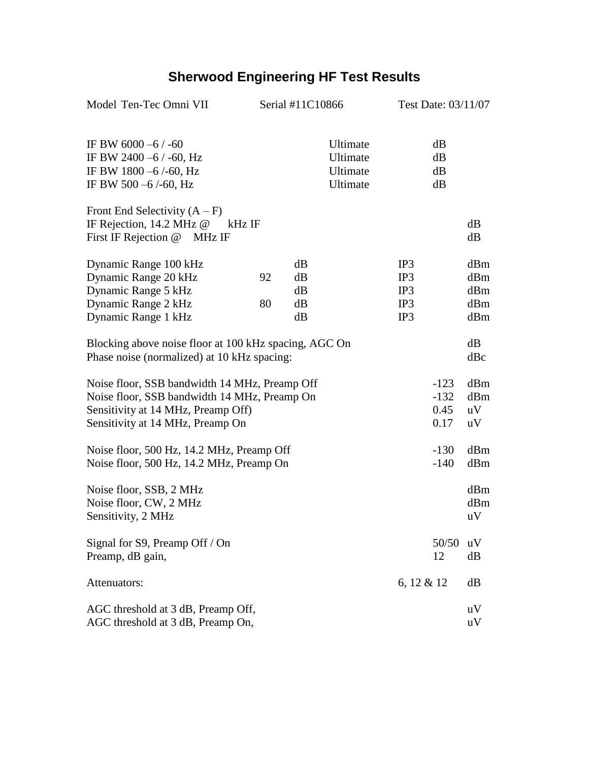## **Sherwood Engineering HF Test Results**

| Model Ten-Tec Omni VII                                                                                                                                                  | Serial #11C10866 |                            | Test Date: 03/11/07                          |                                 |                                  |                                 |
|-------------------------------------------------------------------------------------------------------------------------------------------------------------------------|------------------|----------------------------|----------------------------------------------|---------------------------------|----------------------------------|---------------------------------|
| IF BW 6000 -6 / -60<br>IF BW 2400 -6 $/$ -60, Hz<br>IF BW 1800 -6/-60, Hz<br>IF BW 500 $-6$ /-60, Hz                                                                    |                  |                            | Ultimate<br>Ultimate<br>Ultimate<br>Ultimate |                                 | dB<br>dB<br>dB<br>dB             |                                 |
| Front End Selectivity $(A - F)$<br>IF Rejection, 14.2 MHz @<br>kHz IF<br>First IF Rejection @ MHz IF                                                                    |                  |                            |                                              |                                 |                                  | dB<br>dB                        |
| Dynamic Range 100 kHz<br>Dynamic Range 20 kHz<br>Dynamic Range 5 kHz<br>Dynamic Range 2 kHz<br>Dynamic Range 1 kHz                                                      | 92<br>80         | dB<br>dB<br>dB<br>dB<br>dB |                                              | IP3<br>IP3<br>IP3<br>IP3<br>IP3 |                                  | dBm<br>dBm<br>dBm<br>dBm<br>dBm |
| Blocking above noise floor at 100 kHz spacing, AGC On<br>Phase noise (normalized) at 10 kHz spacing:                                                                    |                  |                            |                                              |                                 |                                  | dB<br>dBc                       |
| Noise floor, SSB bandwidth 14 MHz, Preamp Off<br>Noise floor, SSB bandwidth 14 MHz, Preamp On<br>Sensitivity at 14 MHz, Preamp Off)<br>Sensitivity at 14 MHz, Preamp On |                  |                            |                                              |                                 | $-123$<br>$-132$<br>0.45<br>0.17 | dBm<br>dBm<br>uV<br>uV          |
| Noise floor, 500 Hz, 14.2 MHz, Preamp Off<br>Noise floor, 500 Hz, 14.2 MHz, Preamp On                                                                                   |                  |                            |                                              |                                 | $-130$<br>$-140$                 | dBm<br>dBm                      |
| Noise floor, SSB, 2 MHz<br>Noise floor, CW, 2 MHz<br>Sensitivity, 2 MHz                                                                                                 |                  |                            |                                              |                                 |                                  | dBm<br>dBm<br>uV                |
| Signal for S9, Preamp Off / On<br>Preamp, dB gain,                                                                                                                      |                  |                            |                                              |                                 | 50/50<br>12                      | uV<br>dB                        |
| Attenuators:                                                                                                                                                            |                  |                            |                                              | 6, 12 & 12<br>dB                |                                  |                                 |
| AGC threshold at 3 dB, Preamp Off,<br>AGC threshold at 3 dB, Preamp On,                                                                                                 |                  |                            |                                              |                                 |                                  | uV<br>uV                        |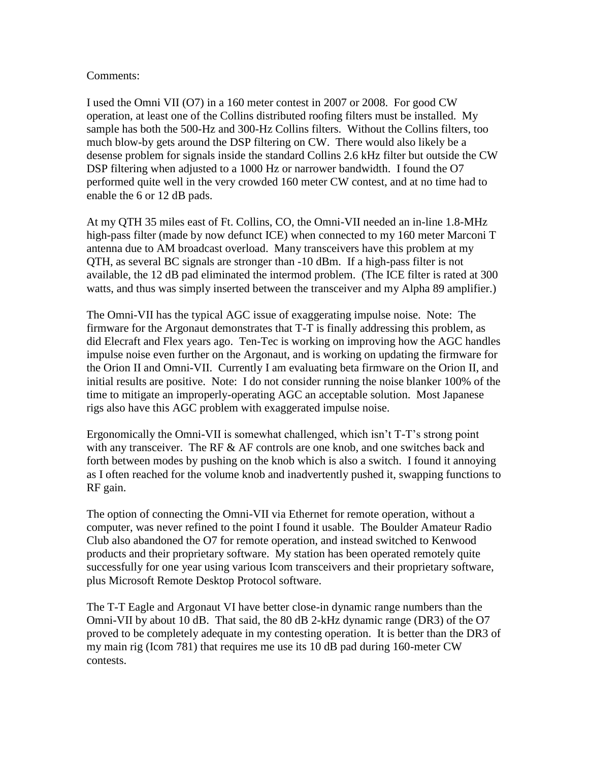## Comments:

I used the Omni VII (O7) in a 160 meter contest in 2007 or 2008. For good CW operation, at least one of the Collins distributed roofing filters must be installed. My sample has both the 500-Hz and 300-Hz Collins filters. Without the Collins filters, too much blow-by gets around the DSP filtering on CW. There would also likely be a desense problem for signals inside the standard Collins 2.6 kHz filter but outside the CW DSP filtering when adjusted to a 1000 Hz or narrower bandwidth. I found the O7 performed quite well in the very crowded 160 meter CW contest, and at no time had to enable the 6 or 12 dB pads.

At my QTH 35 miles east of Ft. Collins, CO, the Omni-VII needed an in-line 1.8-MHz high-pass filter (made by now defunct ICE) when connected to my 160 meter Marconi T antenna due to AM broadcast overload. Many transceivers have this problem at my QTH, as several BC signals are stronger than -10 dBm. If a high-pass filter is not available, the 12 dB pad eliminated the intermod problem. (The ICE filter is rated at 300 watts, and thus was simply inserted between the transceiver and my Alpha 89 amplifier.)

The Omni-VII has the typical AGC issue of exaggerating impulse noise. Note: The firmware for the Argonaut demonstrates that T-T is finally addressing this problem, as did Elecraft and Flex years ago. Ten-Tec is working on improving how the AGC handles impulse noise even further on the Argonaut, and is working on updating the firmware for the Orion II and Omni-VII. Currently I am evaluating beta firmware on the Orion II, and initial results are positive. Note: I do not consider running the noise blanker 100% of the time to mitigate an improperly-operating AGC an acceptable solution. Most Japanese rigs also have this AGC problem with exaggerated impulse noise.

Ergonomically the Omni-VII is somewhat challenged, which isn't T-T's strong point with any transceiver. The RF  $\&$  AF controls are one knob, and one switches back and forth between modes by pushing on the knob which is also a switch. I found it annoying as I often reached for the volume knob and inadvertently pushed it, swapping functions to RF gain.

The option of connecting the Omni-VII via Ethernet for remote operation, without a computer, was never refined to the point I found it usable. The Boulder Amateur Radio Club also abandoned the O7 for remote operation, and instead switched to Kenwood products and their proprietary software. My station has been operated remotely quite successfully for one year using various Icom transceivers and their proprietary software, plus Microsoft Remote Desktop Protocol software.

The T-T Eagle and Argonaut VI have better close-in dynamic range numbers than the Omni-VII by about 10 dB. That said, the 80 dB 2-kHz dynamic range (DR3) of the O7 proved to be completely adequate in my contesting operation. It is better than the DR3 of my main rig (Icom 781) that requires me use its 10 dB pad during 160-meter CW contests.